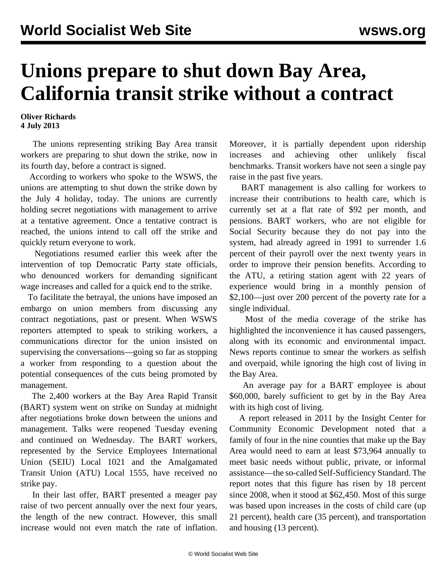## **Unions prepare to shut down Bay Area, California transit strike without a contract**

## **Oliver Richards 4 July 2013**

 The unions representing striking Bay Area transit workers are preparing to shut down the strike, now in its fourth day, before a contract is signed.

 According to workers who spoke to the WSWS, the unions are attempting to shut down the strike down by the July 4 holiday, today. The unions are currently holding secret negotiations with management to arrive at a tentative agreement. Once a tentative contract is reached, the unions intend to call off the strike and quickly return everyone to work.

 Negotiations resumed earlier this week after the intervention of top Democratic Party state officials, who denounced workers for demanding significant wage increases and called for a quick end to the strike.

 To facilitate the betrayal, the unions have imposed an embargo on union members from discussing any contract negotiations, past or present. When WSWS reporters attempted to speak to striking workers, a communications director for the union insisted on supervising the conversations—going so far as stopping a worker from responding to a question about the potential consequences of the cuts being promoted by management.

 The 2,400 workers at the Bay Area Rapid Transit (BART) system went on strike on Sunday at midnight after negotiations broke down between the unions and management. Talks were reopened Tuesday evening and continued on Wednesday. The BART workers, represented by the Service Employees International Union (SEIU) Local 1021 and the Amalgamated Transit Union (ATU) Local 1555, have received no strike pay.

 In their last offer, BART presented a meager pay raise of two percent annually over the next four years, the length of the new contract. However, this small increase would not even match the rate of inflation. Moreover, it is partially dependent upon ridership increases and achieving other unlikely fiscal benchmarks. Transit workers have not seen a single pay raise in the past five years.

 BART management is also calling for workers to increase their contributions to health care, which is currently set at a flat rate of \$92 per month, and pensions. BART workers, who are not eligible for Social Security because they do not pay into the system, had already agreed in 1991 to surrender 1.6 percent of their payroll over the next twenty years in order to improve their pension benefits. According to the ATU, a retiring station agent with 22 years of experience would bring in a monthly pension of \$2,100—just over 200 percent of the poverty rate for a single individual.

 Most of the media coverage of the strike has highlighted the inconvenience it has caused passengers, along with its economic and environmental impact. News reports continue to smear the workers as selfish and overpaid, while ignoring the high cost of living in the Bay Area.

 An average pay for a BART employee is about \$60,000, barely sufficient to get by in the Bay Area with its high cost of living.

 A report released in 2011 by the Insight Center for Community Economic Development noted that a family of four in the nine counties that make up the Bay Area would need to earn at least \$73,964 annually to meet basic needs without public, private, or informal assistance—the so-called Self-Sufficiency Standard. The report notes that this figure has risen by 18 percent since 2008, when it stood at \$62,450. Most of this surge was based upon increases in the costs of child care (up 21 percent), health care (35 percent), and transportation and housing (13 percent).